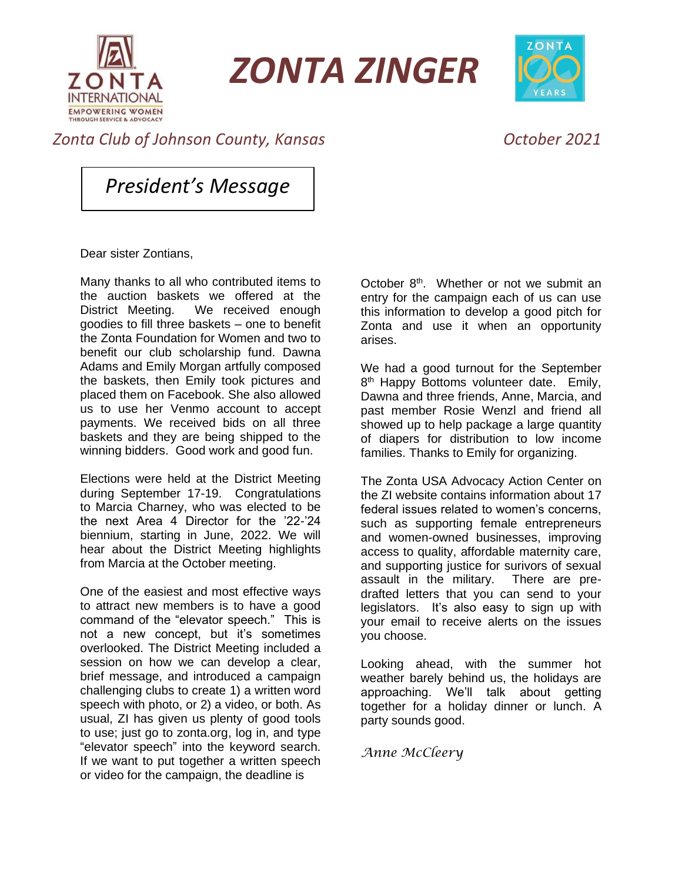

*ZONTA ZINGER*



## *Zonta Club of Johnson County, Kansas October 2021*

*President's Message*

Dear sister Zontians,

Many thanks to all who contributed items to the auction baskets we offered at the District Meeting. We received enough goodies to fill three baskets – one to benefit the Zonta Foundation for Women and two to benefit our club scholarship fund. Dawna Adams and Emily Morgan artfully composed the baskets, then Emily took pictures and placed them on Facebook. She also allowed us to use her Venmo account to accept payments. We received bids on all three baskets and they are being shipped to the winning bidders. Good work and good fun.

Elections were held at the District Meeting during September 17-19. Congratulations to Marcia Charney, who was elected to be the next Area 4 Director for the '22-'24 biennium, starting in June, 2022. We will hear about the District Meeting highlights from Marcia at the October meeting.

One of the easiest and most effective ways to attract new members is to have a good command of the "elevator speech." This is not a new concept, but it's sometimes overlooked. The District Meeting included a session on how we can develop a clear, brief message, and introduced a campaign challenging clubs to create 1) a written word speech with photo, or 2) a video, or both. As usual, ZI has given us plenty of good tools to use; just go to zonta.org, log in, and type "elevator speech" into the keyword search. If we want to put together a written speech or video for the campaign, the deadline is

October  $8<sup>th</sup>$ . Whether or not we submit an entry for the campaign each of us can use this information to develop a good pitch for Zonta and use it when an opportunity arises.

We had a good turnout for the September 8<sup>th</sup> Happy Bottoms volunteer date. Emily, Dawna and three friends, Anne, Marcia, and past member Rosie Wenzl and friend all showed up to help package a large quantity of diapers for distribution to low income families. Thanks to Emily for organizing.

The Zonta USA Advocacy Action Center on the ZI website contains information about 17 federal issues related to women's concerns, such as supporting female entrepreneurs and women-owned businesses, improving access to quality, affordable maternity care, and supporting justice for surivors of sexual assault in the military. There are predrafted letters that you can send to your legislators. It's also easy to sign up with your email to receive alerts on the issues you choose.

Looking ahead, with the summer hot weather barely behind us, the holidays are approaching. We'll talk about getting together for a holiday dinner or lunch. A party sounds good.

*Anne McCleery*